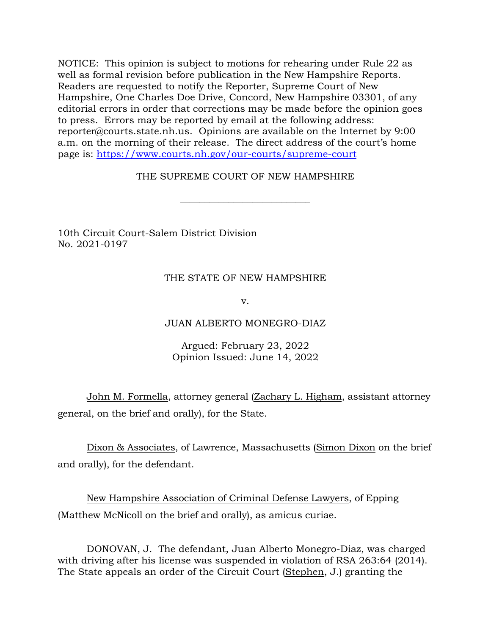NOTICE: This opinion is subject to motions for rehearing under Rule 22 as well as formal revision before publication in the New Hampshire Reports. Readers are requested to notify the Reporter, Supreme Court of New Hampshire, One Charles Doe Drive, Concord, New Hampshire 03301, of any editorial errors in order that corrections may be made before the opinion goes to press. Errors may be reported by email at the following address: reporter@courts.state.nh.us. Opinions are available on the Internet by 9:00 a.m. on the morning of their release. The direct address of the court's home page is: [https://www.courts.nh.gov/our-courts/supreme-court](https://gcc02.safelinks.protection.outlook.com/?url=https%3A%2F%2Fwww.courts.nh.gov%2Four-courts%2Fsupreme-court&data=04%7C01%7CLPlatt%40courts.state.nh.us%7Caa2db6655bdc4704e20708d9a2ef34d8%7C4b263663fabf4b6db730af1c06efff28%7C0%7C0%7C637719970537225651%7CUnknown%7CTWFpbGZsb3d8eyJWIjoiMC4wLjAwMDAiLCJQIjoiV2luMzIiLCJBTiI6Ik1haWwiLCJXVCI6Mn0%3D%7C1000&sdata=VmLIzCaIc2VpgcA78JCxp7zwT%2BpF1h5dmxaOLq6XH0g%3D&reserved=0)

## THE SUPREME COURT OF NEW HAMPSHIRE

 $\overline{\phantom{a}}$  , where  $\overline{\phantom{a}}$  , where  $\overline{\phantom{a}}$  , where  $\overline{\phantom{a}}$  ,  $\overline{\phantom{a}}$  ,  $\overline{\phantom{a}}$  ,  $\overline{\phantom{a}}$  ,  $\overline{\phantom{a}}$  ,  $\overline{\phantom{a}}$  ,  $\overline{\phantom{a}}$  ,  $\overline{\phantom{a}}$  ,  $\overline{\phantom{a}}$  ,  $\overline{\phantom{a}}$  ,  $\overline{\phantom{a}}$  ,  $\overline{\phantom$ 

10th Circuit Court-Salem District Division No. 2021-0197

## THE STATE OF NEW HAMPSHIRE

v.

## JUAN ALBERTO MONEGRO-DIAZ

## Argued: February 23, 2022 Opinion Issued: June 14, 2022

John M. Formella, attorney general (Zachary L. Higham, assistant attorney general, on the brief and orally), for the State.

Dixon & Associates, of Lawrence, Massachusetts (Simon Dixon on the brief and orally), for the defendant.

New Hampshire Association of Criminal Defense Lawyers, of Epping (Matthew McNicoll on the brief and orally), as amicus curiae.

DONOVAN, J. The defendant, Juan Alberto Monegro-Diaz, was charged with driving after his license was suspended in violation of RSA 263:64 (2014). The State appeals an order of the Circuit Court (Stephen, J.) granting the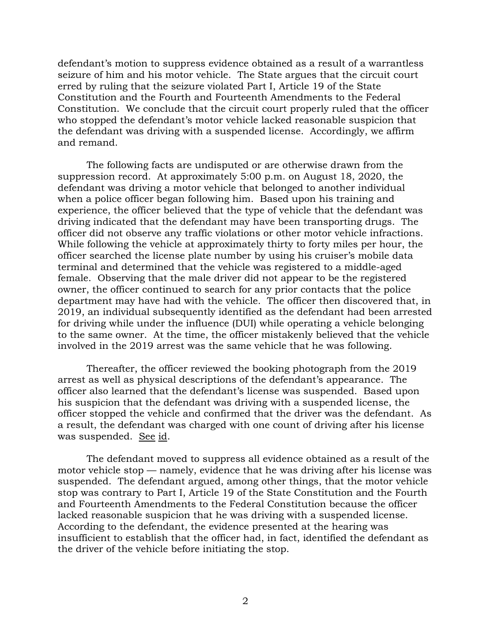defendant's motion to suppress evidence obtained as a result of a warrantless seizure of him and his motor vehicle. The State argues that the circuit court erred by ruling that the seizure violated Part I, Article 19 of the State Constitution and the Fourth and Fourteenth Amendments to the Federal Constitution. We conclude that the circuit court properly ruled that the officer who stopped the defendant's motor vehicle lacked reasonable suspicion that the defendant was driving with a suspended license. Accordingly, we affirm and remand.

The following facts are undisputed or are otherwise drawn from the suppression record. At approximately 5:00 p.m. on August 18, 2020, the defendant was driving a motor vehicle that belonged to another individual when a police officer began following him. Based upon his training and experience, the officer believed that the type of vehicle that the defendant was driving indicated that the defendant may have been transporting drugs. The officer did not observe any traffic violations or other motor vehicle infractions. While following the vehicle at approximately thirty to forty miles per hour, the officer searched the license plate number by using his cruiser's mobile data terminal and determined that the vehicle was registered to a middle-aged female. Observing that the male driver did not appear to be the registered owner, the officer continued to search for any prior contacts that the police department may have had with the vehicle. The officer then discovered that, in 2019, an individual subsequently identified as the defendant had been arrested for driving while under the influence (DUI) while operating a vehicle belonging to the same owner. At the time, the officer mistakenly believed that the vehicle involved in the 2019 arrest was the same vehicle that he was following.

Thereafter, the officer reviewed the booking photograph from the 2019 arrest as well as physical descriptions of the defendant's appearance. The officer also learned that the defendant's license was suspended. Based upon his suspicion that the defendant was driving with a suspended license, the officer stopped the vehicle and confirmed that the driver was the defendant. As a result, the defendant was charged with one count of driving after his license was suspended. See id.

The defendant moved to suppress all evidence obtained as a result of the motor vehicle stop — namely, evidence that he was driving after his license was suspended. The defendant argued, among other things, that the motor vehicle stop was contrary to Part I, Article 19 of the State Constitution and the Fourth and Fourteenth Amendments to the Federal Constitution because the officer lacked reasonable suspicion that he was driving with a suspended license. According to the defendant, the evidence presented at the hearing was insufficient to establish that the officer had, in fact, identified the defendant as the driver of the vehicle before initiating the stop.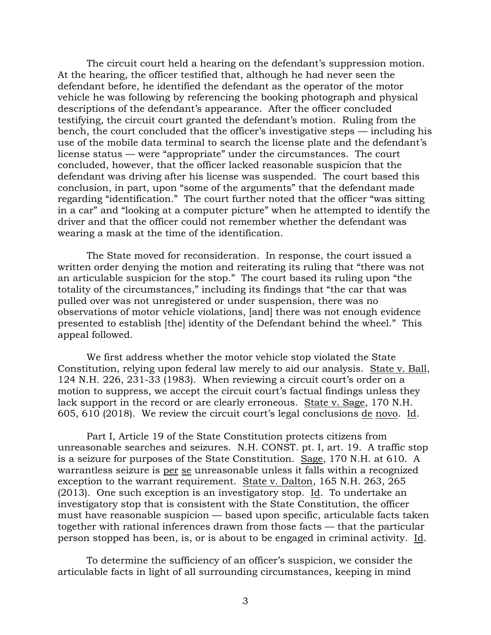The circuit court held a hearing on the defendant's suppression motion. At the hearing, the officer testified that, although he had never seen the defendant before, he identified the defendant as the operator of the motor vehicle he was following by referencing the booking photograph and physical descriptions of the defendant's appearance. After the officer concluded testifying, the circuit court granted the defendant's motion. Ruling from the bench, the court concluded that the officer's investigative steps — including his use of the mobile data terminal to search the license plate and the defendant's license status — were "appropriate" under the circumstances. The court concluded, however, that the officer lacked reasonable suspicion that the defendant was driving after his license was suspended. The court based this conclusion, in part, upon "some of the arguments" that the defendant made regarding "identification." The court further noted that the officer "was sitting in a car" and "looking at a computer picture" when he attempted to identify the driver and that the officer could not remember whether the defendant was wearing a mask at the time of the identification.

The State moved for reconsideration. In response, the court issued a written order denying the motion and reiterating its ruling that "there was not an articulable suspicion for the stop." The court based its ruling upon "the totality of the circumstances," including its findings that "the car that was pulled over was not unregistered or under suspension, there was no observations of motor vehicle violations, [and] there was not enough evidence presented to establish [the] identity of the Defendant behind the wheel." This appeal followed.

We first address whether the motor vehicle stop violated the State Constitution, relying upon federal law merely to aid our analysis. State v. Ball, 124 N.H. 226, 231-33 (1983). When reviewing a circuit court's order on a motion to suppress, we accept the circuit court's factual findings unless they lack support in the record or are clearly erroneous. State v. Sage, 170 N.H. 605, 610 (2018). We review the circuit court's legal conclusions de novo. Id.

Part I, Article 19 of the State Constitution protects citizens from unreasonable searches and seizures. N.H. CONST. pt. I, art. 19. A traffic stop is a seizure for purposes of the State Constitution. Sage, 170 N.H. at 610. A warrantless seizure is per se unreasonable unless it falls within a recognized exception to the warrant requirement. State v. Dalton, 165 N.H. 263, 265 (2013). One such exception is an investigatory stop. Id. To undertake an investigatory stop that is consistent with the State Constitution, the officer must have reasonable suspicion — based upon specific, articulable facts taken together with rational inferences drawn from those facts — that the particular person stopped has been, is, or is about to be engaged in criminal activity. Id.

To determine the sufficiency of an officer's suspicion, we consider the articulable facts in light of all surrounding circumstances, keeping in mind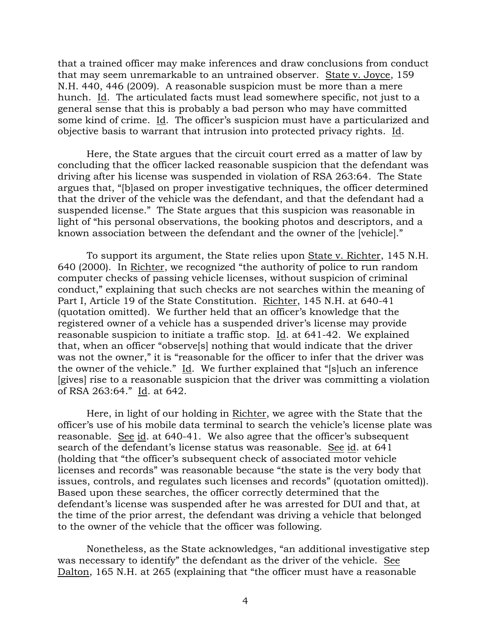that a trained officer may make inferences and draw conclusions from conduct that may seem unremarkable to an untrained observer. State v. Joyce, 159 N.H. 440, 446 (2009). A reasonable suspicion must be more than a mere hunch. Id. The articulated facts must lead somewhere specific, not just to a general sense that this is probably a bad person who may have committed some kind of crime. Id. The officer's suspicion must have a particularized and objective basis to warrant that intrusion into protected privacy rights. Id.

Here, the State argues that the circuit court erred as a matter of law by concluding that the officer lacked reasonable suspicion that the defendant was driving after his license was suspended in violation of RSA 263:64. The State argues that, "[b]ased on proper investigative techniques, the officer determined that the driver of the vehicle was the defendant, and that the defendant had a suspended license." The State argues that this suspicion was reasonable in light of "his personal observations, the booking photos and descriptors, and a known association between the defendant and the owner of the [vehicle]."

To support its argument, the State relies upon State v. Richter, 145 N.H. 640 (2000). In Richter, we recognized "the authority of police to run random computer checks of passing vehicle licenses, without suspicion of criminal conduct," explaining that such checks are not searches within the meaning of Part I, Article 19 of the State Constitution. Richter, 145 N.H. at 640-41 (quotation omitted). We further held that an officer's knowledge that the registered owner of a vehicle has a suspended driver's license may provide reasonable suspicion to initiate a traffic stop. Id. at 641-42. We explained that, when an officer "observe[s] nothing that would indicate that the driver was not the owner," it is "reasonable for the officer to infer that the driver was the owner of the vehicle." Id. We further explained that "[s]uch an inference [gives] rise to a reasonable suspicion that the driver was committing a violation of RSA 263:64." Id. at 642.

Here, in light of our holding in Richter, we agree with the State that the officer's use of his mobile data terminal to search the vehicle's license plate was reasonable. See id. at 640-41. We also agree that the officer's subsequent search of the defendant's license status was reasonable. See id. at 641 (holding that "the officer's subsequent check of associated motor vehicle licenses and records" was reasonable because "the state is the very body that issues, controls, and regulates such licenses and records" (quotation omitted)). Based upon these searches, the officer correctly determined that the defendant's license was suspended after he was arrested for DUI and that, at the time of the prior arrest, the defendant was driving a vehicle that belonged to the owner of the vehicle that the officer was following.

Nonetheless, as the State acknowledges, "an additional investigative step was necessary to identify" the defendant as the driver of the vehicle. See Dalton, 165 N.H. at 265 (explaining that "the officer must have a reasonable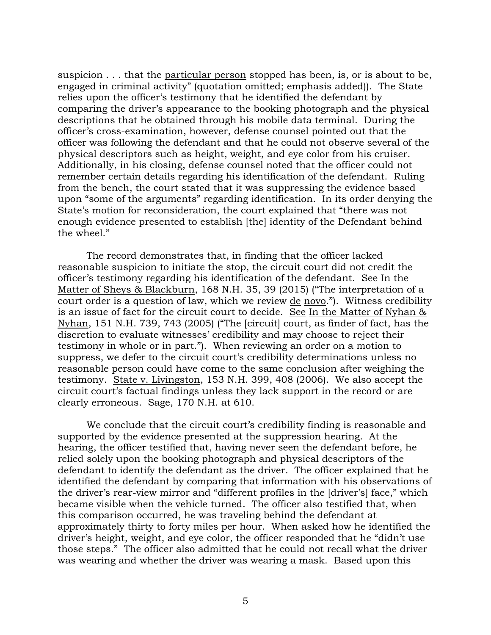suspicion . . . that the particular person stopped has been, is, or is about to be, engaged in criminal activity" (quotation omitted; emphasis added)). The State relies upon the officer's testimony that he identified the defendant by comparing the driver's appearance to the booking photograph and the physical descriptions that he obtained through his mobile data terminal. During the officer's cross-examination, however, defense counsel pointed out that the officer was following the defendant and that he could not observe several of the physical descriptors such as height, weight, and eye color from his cruiser. Additionally, in his closing, defense counsel noted that the officer could not remember certain details regarding his identification of the defendant. Ruling from the bench, the court stated that it was suppressing the evidence based upon "some of the arguments" regarding identification. In its order denying the State's motion for reconsideration, the court explained that "there was not enough evidence presented to establish [the] identity of the Defendant behind the wheel."

The record demonstrates that, in finding that the officer lacked reasonable suspicion to initiate the stop, the circuit court did not credit the officer's testimony regarding his identification of the defendant. See In the Matter of Sheys & Blackburn, 168 N.H. 35, 39 (2015) ("The interpretation of a court order is a question of law, which we review de novo."). Witness credibility is an issue of fact for the circuit court to decide. See In the Matter of Nyhan & Nyhan, 151 N.H. 739, 743 (2005) ("The [circuit] court, as finder of fact, has the discretion to evaluate witnesses' credibility and may choose to reject their testimony in whole or in part."). When reviewing an order on a motion to suppress, we defer to the circuit court's credibility determinations unless no reasonable person could have come to the same conclusion after weighing the testimony. State v. Livingston, 153 N.H. 399, 408 (2006). We also accept the circuit court's factual findings unless they lack support in the record or are clearly erroneous. Sage, 170 N.H. at 610.

We conclude that the circuit court's credibility finding is reasonable and supported by the evidence presented at the suppression hearing. At the hearing, the officer testified that, having never seen the defendant before, he relied solely upon the booking photograph and physical descriptors of the defendant to identify the defendant as the driver. The officer explained that he identified the defendant by comparing that information with his observations of the driver's rear-view mirror and "different profiles in the [driver's] face," which became visible when the vehicle turned. The officer also testified that, when this comparison occurred, he was traveling behind the defendant at approximately thirty to forty miles per hour. When asked how he identified the driver's height, weight, and eye color, the officer responded that he "didn't use those steps." The officer also admitted that he could not recall what the driver was wearing and whether the driver was wearing a mask. Based upon this